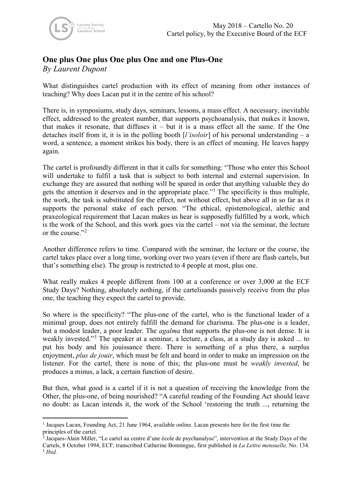## **One plus One plus One plus One and one Plus-One**

*By Laurent Dupont*

What distinguishes cartel production with its effect of meaning from other instances of teaching? Why does Lacan put it in the centre of his school?

There is, in symposiums, study days, seminars, lessons, a mass effect. A necessary, inevitable effect, addressed to the greatest number, that supports psychoanalysis, that makes it known, that makes it resonate, that diffuses it  $-$  but it is a mass effect all the same. If the One detaches itself from it, it is in the polling booth [*l'isoloir*] of his personal understanding – a word, a sentence, a moment strikes his body, there is an effect of meaning. He leaves happy again.

The cartel is profoundly different in that it calls for something: "Those who enter this School will undertake to fulfil a task that is subject to both internal and external supervision. In exchange they are assured that nothing will be spared in order that anything valuable they do gets the attention it deserves and in the appropriate place."[1](#page-0-0) The specificity is thus multiple, the work, the task is substituted for the effect, not without effect, but above all in so far as it supports the personal stake of each person. "The ethical, epistemological, alethic and praxeological requirement that Lacan makes us hear is supposedly fulfilled by a work, which is the work of the School, and this work goes via the cartel – not via the seminar, the lecture or the course."<sup>[2](#page-0-1)</sup>

Another difference refers to time. Compared with the seminar, the lecture or the course, the cartel takes place over a long time, working over two years (even if there are flash cartels, but that's something else). The group is restricted to 4 people at most, plus one.

What really makes 4 people different from 100 at a conference or over 3,000 at the ECF Study Days? Nothing, absolutely nothing, if the cartelisands passively receive from the plus one, the teaching they expect the cartel to provide.

So where is the specificity? "The plus-one of the cartel, who is the functional leader of a minimal group, does not entirely fulfill the demand for charisma. The plus-one is a leader, but a modest leader, a poor leader. The *agalma* that supports the plus-one is not dense. It is weakly invested."<sup>[3](#page-0-2)</sup> The speaker at a seminar, a lecture, a class, at a study day is asked ... to put his body and his jouissance there. There is something of a plus there, a surplus enjoyment, *plus de jouir*, which must be felt and heard in order to make an impression on the listener. For the cartel, there is none of this; the plus-one must be *weakly invested*, he produces a minus, a lack, a certain function of desire.

But then, what good is a cartel if it is not a question of receiving the knowledge from the Other, the plus-one, of being nourished? "A careful reading of the Founding Act should leave no doubt: as Lacan intends it, the work of the School 'restoring the truth ..., returning the

<span id="page-0-0"></span><sup>1</sup> Jacques Lacan, Founding Act, 21 June 1964, available online. Lacan presents here for the first time the principles of the cartel.

<span id="page-0-2"></span><span id="page-0-1"></span> $\frac{1}{2}$  Jacques-Alain Miller, "Le cartel au centre d'une école de psychanalyse", intervention at the Study Days of the Cartels, 8 October 1994, ECF; transcribed Catherine Bonningue, first published in *La Lettre mensuelle,* No. 134.